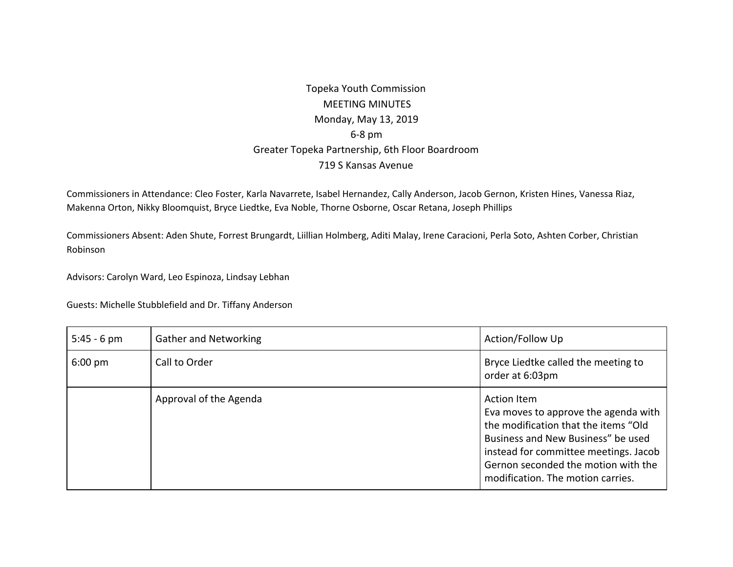## Topeka Youth Commission MEETING MINUTES Monday, May 13, 2019 6-8 pm Greater Topeka Partnership, 6th Floor Boardroom 719 S Kansas Avenue

Commissioners in Attendance: Cleo Foster, Karla Navarrete, Isabel Hernandez, Cally Anderson, Jacob Gernon, Kristen Hines, Vanessa Riaz, Makenna Orton, Nikky Bloomquist, Bryce Liedtke, Eva Noble, Thorne Osborne, Oscar Retana, Joseph Phillips

Commissioners Absent: Aden Shute, Forrest Brungardt, Liillian Holmberg, Aditi Malay, Irene Caracioni, Perla Soto, Ashten Corber, Christian Robinson

Advisors: Carolyn Ward, Leo Espinoza, Lindsay Lebhan

Guests: Michelle Stubblefield and Dr. Tiffany Anderson

| $5:45 - 6$ pm     | <b>Gather and Networking</b> | Action/Follow Up                                                                                                                                                                                                                                              |
|-------------------|------------------------------|---------------------------------------------------------------------------------------------------------------------------------------------------------------------------------------------------------------------------------------------------------------|
| $6:00 \text{ pm}$ | Call to Order                | Bryce Liedtke called the meeting to<br>order at 6:03pm                                                                                                                                                                                                        |
|                   | Approval of the Agenda       | <b>Action Item</b><br>Eva moves to approve the agenda with<br>the modification that the items "Old<br>Business and New Business" be used<br>instead for committee meetings. Jacob<br>Gernon seconded the motion with the<br>modification. The motion carries. |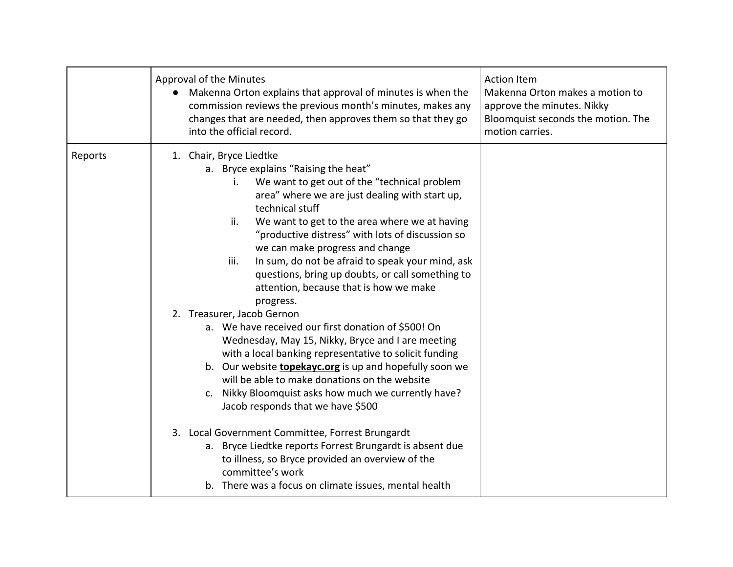|         | Approval of the Minutes<br>Makenna Orton explains that approval of minutes is when the<br>$\bullet$<br>commission reviews the previous month's minutes, makes any<br>changes that are needed, then approves them so that they go<br>into the official record.                                                                                                                                                                                                                                                                                                                                                                                                                                                                                                                                                                                                                                                                                                                                                                                                                                                                                                                         | <b>Action Item</b><br>Makenna Orton makes a motion to<br>approve the minutes. Nikky<br>Bloomquist seconds the motion. The<br>motion carries. |
|---------|---------------------------------------------------------------------------------------------------------------------------------------------------------------------------------------------------------------------------------------------------------------------------------------------------------------------------------------------------------------------------------------------------------------------------------------------------------------------------------------------------------------------------------------------------------------------------------------------------------------------------------------------------------------------------------------------------------------------------------------------------------------------------------------------------------------------------------------------------------------------------------------------------------------------------------------------------------------------------------------------------------------------------------------------------------------------------------------------------------------------------------------------------------------------------------------|----------------------------------------------------------------------------------------------------------------------------------------------|
| Reports | 1. Chair, Bryce Liedtke<br>a. Bryce explains "Raising the heat"<br>We want to get out of the "technical problem<br>i.<br>area" where we are just dealing with start up,<br>technical stuff<br>ii.<br>We want to get to the area where we at having<br>"productive distress" with lots of discussion so<br>we can make progress and change<br>iii.<br>In sum, do not be afraid to speak your mind, ask<br>questions, bring up doubts, or call something to<br>attention, because that is how we make<br>progress.<br>2. Treasurer, Jacob Gernon<br>a. We have received our first donation of \$500! On<br>Wednesday, May 15, Nikky, Bryce and I are meeting<br>with a local banking representative to solicit funding<br>b. Our website <b>topekayc.org</b> is up and hopefully soon we<br>will be able to make donations on the website<br>c. Nikky Bloomquist asks how much we currently have?<br>Jacob responds that we have \$500<br>3. Local Government Committee, Forrest Brungardt<br>a. Bryce Liedtke reports Forrest Brungardt is absent due<br>to illness, so Bryce provided an overview of the<br>committee's work<br>b. There was a focus on climate issues, mental health |                                                                                                                                              |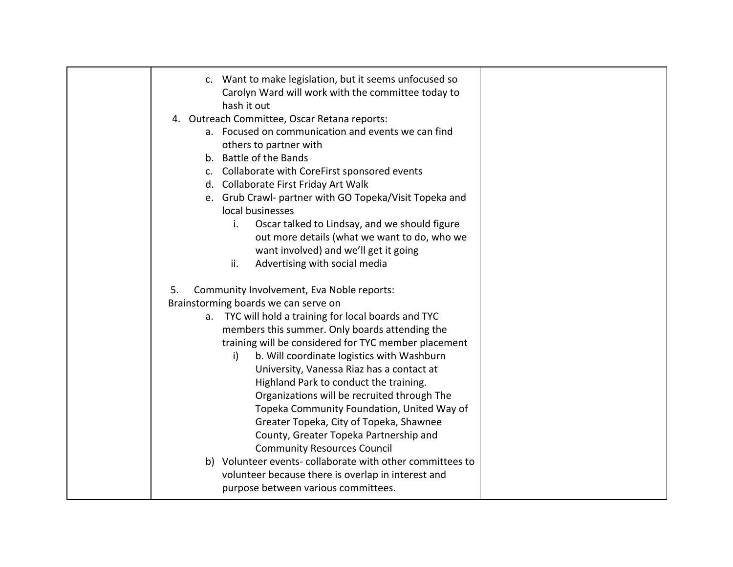| c. Want to make legislation, but it seems unfocused so<br>Carolyn Ward will work with the committee today to<br>hash it out<br>4. Outreach Committee, Oscar Retana reports:<br>a. Focused on communication and events we can find<br>others to partner with<br>b. Battle of the Bands<br>c. Collaborate with CoreFirst sponsored events<br>d. Collaborate First Friday Art Walk<br>e. Grub Crawl- partner with GO Topeka/Visit Topeka and<br>local businesses<br>Oscar talked to Lindsay, and we should figure                                                                                                                                                                           |  |
|------------------------------------------------------------------------------------------------------------------------------------------------------------------------------------------------------------------------------------------------------------------------------------------------------------------------------------------------------------------------------------------------------------------------------------------------------------------------------------------------------------------------------------------------------------------------------------------------------------------------------------------------------------------------------------------|--|
| i.                                                                                                                                                                                                                                                                                                                                                                                                                                                                                                                                                                                                                                                                                       |  |
| out more details (what we want to do, who we                                                                                                                                                                                                                                                                                                                                                                                                                                                                                                                                                                                                                                             |  |
| want involved) and we'll get it going                                                                                                                                                                                                                                                                                                                                                                                                                                                                                                                                                                                                                                                    |  |
| ii.<br>Advertising with social media                                                                                                                                                                                                                                                                                                                                                                                                                                                                                                                                                                                                                                                     |  |
| 5.<br>Community Involvement, Eva Noble reports:<br>Brainstorming boards we can serve on<br>a. TYC will hold a training for local boards and TYC<br>members this summer. Only boards attending the<br>training will be considered for TYC member placement<br>b. Will coordinate logistics with Washburn<br>i)<br>University, Vanessa Riaz has a contact at<br>Highland Park to conduct the training.<br>Organizations will be recruited through The<br>Topeka Community Foundation, United Way of<br>Greater Topeka, City of Topeka, Shawnee<br>County, Greater Topeka Partnership and<br><b>Community Resources Council</b><br>b) Volunteer events-collaborate with other committees to |  |
| volunteer because there is overlap in interest and<br>purpose between various committees.                                                                                                                                                                                                                                                                                                                                                                                                                                                                                                                                                                                                |  |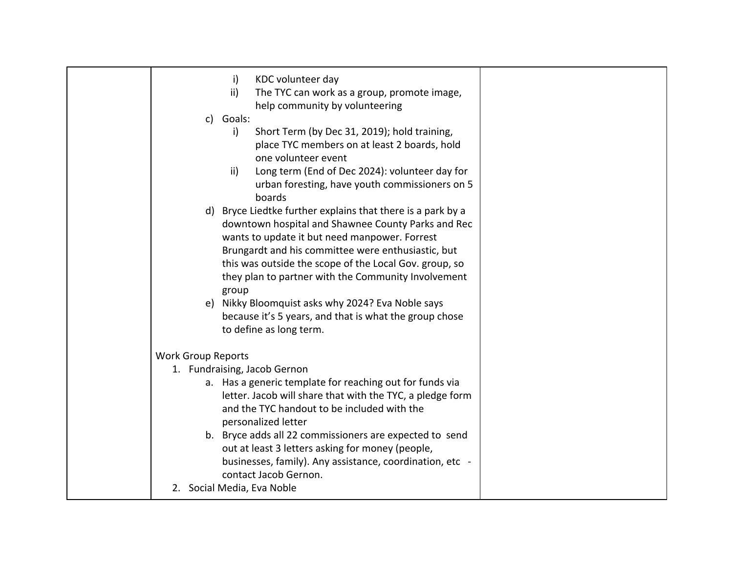| KDC volunteer day<br>i)                                                              |  |
|--------------------------------------------------------------------------------------|--|
| ii)<br>The TYC can work as a group, promote image,<br>help community by volunteering |  |
| Goals:<br>$\mathsf{C}$                                                               |  |
| Short Term (by Dec 31, 2019); hold training,<br>i)                                   |  |
| place TYC members on at least 2 boards, hold                                         |  |
| one volunteer event                                                                  |  |
| Long term (End of Dec 2024): volunteer day for<br>$\mathsf{ii}$                      |  |
| urban foresting, have youth commissioners on 5<br>boards                             |  |
| d) Bryce Liedtke further explains that there is a park by a                          |  |
| downtown hospital and Shawnee County Parks and Rec                                   |  |
| wants to update it but need manpower. Forrest                                        |  |
| Brungardt and his committee were enthusiastic, but                                   |  |
| this was outside the scope of the Local Gov. group, so                               |  |
| they plan to partner with the Community Involvement<br>group                         |  |
| e) Nikky Bloomquist asks why 2024? Eva Noble says                                    |  |
| because it's 5 years, and that is what the group chose                               |  |
| to define as long term.                                                              |  |
| <b>Work Group Reports</b>                                                            |  |
| 1. Fundraising, Jacob Gernon                                                         |  |
| a. Has a generic template for reaching out for funds via                             |  |
| letter. Jacob will share that with the TYC, a pledge form                            |  |
| and the TYC handout to be included with the                                          |  |
| personalized letter                                                                  |  |
| b. Bryce adds all 22 commissioners are expected to send                              |  |
| out at least 3 letters asking for money (people,                                     |  |
| businesses, family). Any assistance, coordination, etc -<br>contact Jacob Gernon.    |  |
| 2. Social Media, Eva Noble                                                           |  |
|                                                                                      |  |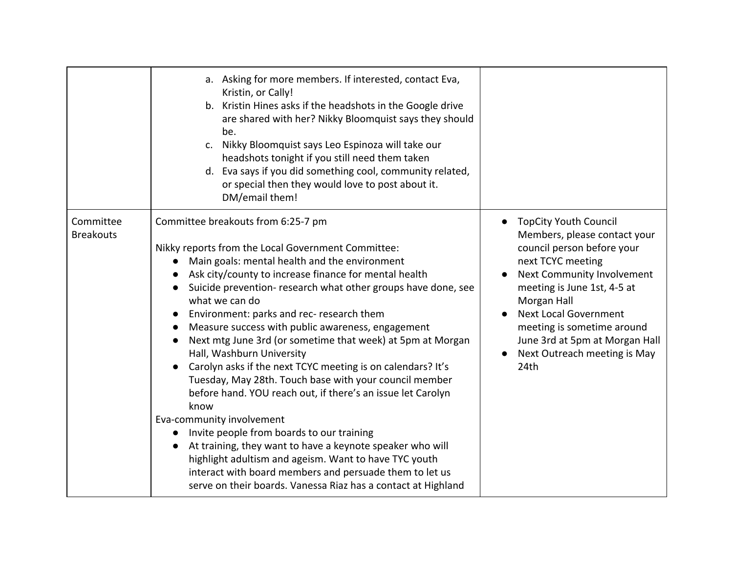|                               | a. Asking for more members. If interested, contact Eva,<br>Kristin, or Cally!<br>b. Kristin Hines asks if the headshots in the Google drive<br>are shared with her? Nikky Bloomquist says they should<br>be.<br>c. Nikky Bloomquist says Leo Espinoza will take our<br>headshots tonight if you still need them taken<br>d. Eva says if you did something cool, community related,<br>or special then they would love to post about it.<br>DM/email them!                                                                                                                                                                                                                                                                                                                                                                                                                                                                                                                                                                                |                                                                                                                                                                                                                                                                                                                                     |
|-------------------------------|------------------------------------------------------------------------------------------------------------------------------------------------------------------------------------------------------------------------------------------------------------------------------------------------------------------------------------------------------------------------------------------------------------------------------------------------------------------------------------------------------------------------------------------------------------------------------------------------------------------------------------------------------------------------------------------------------------------------------------------------------------------------------------------------------------------------------------------------------------------------------------------------------------------------------------------------------------------------------------------------------------------------------------------|-------------------------------------------------------------------------------------------------------------------------------------------------------------------------------------------------------------------------------------------------------------------------------------------------------------------------------------|
| Committee<br><b>Breakouts</b> | Committee breakouts from 6:25-7 pm<br>Nikky reports from the Local Government Committee:<br>Main goals: mental health and the environment<br>$\bullet$<br>Ask city/county to increase finance for mental health<br>Suicide prevention- research what other groups have done, see<br>what we can do<br>Environment: parks and rec- research them<br>Measure success with public awareness, engagement<br>Next mtg June 3rd (or sometime that week) at 5pm at Morgan<br>$\bullet$<br>Hall, Washburn University<br>Carolyn asks if the next TCYC meeting is on calendars? It's<br>Tuesday, May 28th. Touch base with your council member<br>before hand. YOU reach out, if there's an issue let Carolyn<br>know<br>Eva-community involvement<br>Invite people from boards to our training<br>At training, they want to have a keynote speaker who will<br>highlight adultism and ageism. Want to have TYC youth<br>interact with board members and persuade them to let us<br>serve on their boards. Vanessa Riaz has a contact at Highland | <b>TopCity Youth Council</b><br>Members, please contact your<br>council person before your<br>next TCYC meeting<br>Next Community Involvement<br>meeting is June 1st, 4-5 at<br>Morgan Hall<br><b>Next Local Government</b><br>meeting is sometime around<br>June 3rd at 5pm at Morgan Hall<br>Next Outreach meeting is May<br>24th |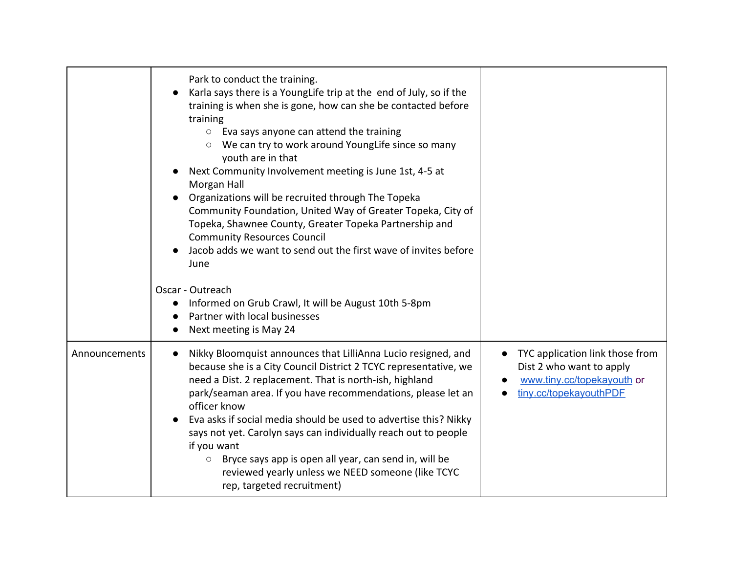|               | Park to conduct the training.<br>Karla says there is a YoungLife trip at the end of July, so if the<br>training is when she is gone, how can she be contacted before<br>training<br>$\circ$ Eva says anyone can attend the training<br>We can try to work around YoungLife since so many<br>$\circ$<br>youth are in that<br>Next Community Involvement meeting is June 1st, 4-5 at<br>Morgan Hall<br>Organizations will be recruited through The Topeka<br>Community Foundation, United Way of Greater Topeka, City of<br>Topeka, Shawnee County, Greater Topeka Partnership and<br><b>Community Resources Council</b><br>Jacob adds we want to send out the first wave of invites before |                                                                                                                     |
|---------------|-------------------------------------------------------------------------------------------------------------------------------------------------------------------------------------------------------------------------------------------------------------------------------------------------------------------------------------------------------------------------------------------------------------------------------------------------------------------------------------------------------------------------------------------------------------------------------------------------------------------------------------------------------------------------------------------|---------------------------------------------------------------------------------------------------------------------|
|               | June<br>Oscar - Outreach<br>Informed on Grub Crawl, It will be August 10th 5-8pm<br>$\bullet$<br>Partner with local businesses<br>Next meeting is May 24                                                                                                                                                                                                                                                                                                                                                                                                                                                                                                                                  |                                                                                                                     |
| Announcements | Nikky Bloomquist announces that LilliAnna Lucio resigned, and<br>$\bullet$<br>because she is a City Council District 2 TCYC representative, we<br>need a Dist. 2 replacement. That is north-ish, highland<br>park/seaman area. If you have recommendations, please let an<br>officer know<br>Eva asks if social media should be used to advertise this? Nikky<br>says not yet. Carolyn says can individually reach out to people<br>if you want<br>Bryce says app is open all year, can send in, will be<br>O<br>reviewed yearly unless we NEED someone (like TCYC<br>rep, targeted recruitment)                                                                                          | TYC application link those from<br>Dist 2 who want to apply<br>www.tiny.cc/topekayouth or<br>tiny.cc/topekayouthPDF |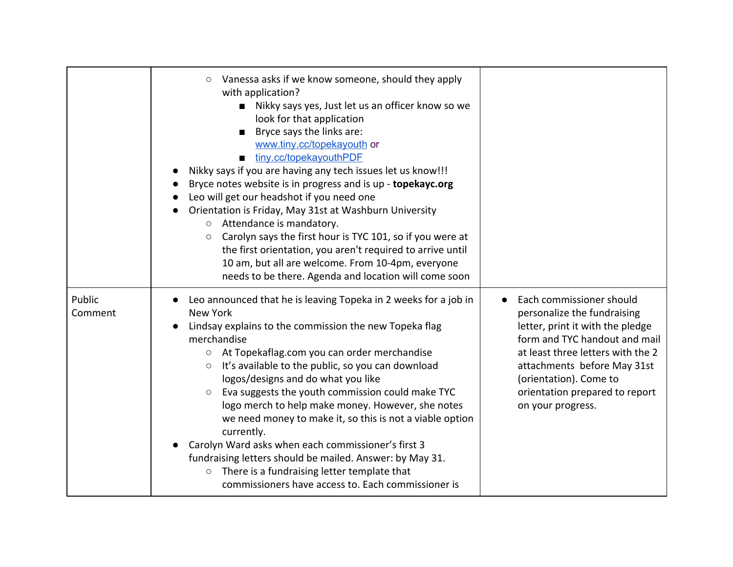|                   | Vanessa asks if we know someone, should they apply<br>$\circ$<br>with application?<br>Nikky says yes, Just let us an officer know so we<br>look for that application<br>Bryce says the links are:<br>$\blacksquare$<br>www.tiny.cc/topekayouth or<br>tiny.cc/topekayouthPDF<br>Nikky says if you are having any tech issues let us know!!!<br>Bryce notes website is in progress and is up - topekayc.org<br>Leo will get our headshot if you need one<br>Orientation is Friday, May 31st at Washburn University<br>Attendance is mandatory.<br>$\bigcirc$<br>Carolyn says the first hour is TYC 101, so if you were at<br>$\circ$<br>the first orientation, you aren't required to arrive until<br>10 am, but all are welcome. From 10-4pm, everyone<br>needs to be there. Agenda and location will come soon |                                                                                                                                                                                                                                                                                   |
|-------------------|----------------------------------------------------------------------------------------------------------------------------------------------------------------------------------------------------------------------------------------------------------------------------------------------------------------------------------------------------------------------------------------------------------------------------------------------------------------------------------------------------------------------------------------------------------------------------------------------------------------------------------------------------------------------------------------------------------------------------------------------------------------------------------------------------------------|-----------------------------------------------------------------------------------------------------------------------------------------------------------------------------------------------------------------------------------------------------------------------------------|
| Public<br>Comment | Leo announced that he is leaving Topeka in 2 weeks for a job in<br><b>New York</b><br>Lindsay explains to the commission the new Topeka flag<br>merchandise<br>○ At Topekaflag.com you can order merchandise<br>It's available to the public, so you can download<br>$\circlearrowright$<br>logos/designs and do what you like<br>Eva suggests the youth commission could make TYC<br>$\circ$<br>logo merch to help make money. However, she notes<br>we need money to make it, so this is not a viable option<br>currently.<br>Carolyn Ward asks when each commissioner's first 3<br>fundraising letters should be mailed. Answer: by May 31.<br>There is a fundraising letter template that<br>$\circ$<br>commissioners have access to. Each commissioner is                                                 | Each commissioner should<br>personalize the fundraising<br>letter, print it with the pledge<br>form and TYC handout and mail<br>at least three letters with the 2<br>attachments before May 31st<br>(orientation). Come to<br>orientation prepared to report<br>on your progress. |